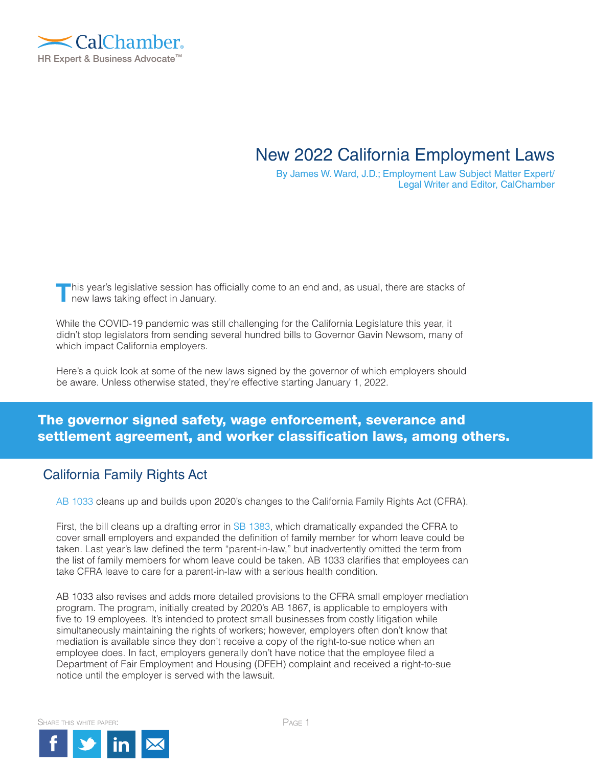

# New 2022 California Employment Laws

By James W. Ward, J.D.; Employment Law Subject Matter Expert/ Legal Writer and Editor, CalChamber

**T**his year's legislative session has officially come to an end and, as usual, there are stacks of new laws taking effect in January.

While the COVID-19 pandemic was still challenging for the California Legislature this year, it didn't stop legislators from sending several hundred bills to Governor Gavin Newsom, many of which impact California employers.

Here's a quick look at some of the new laws signed by the governor of which employers should be aware. Unless otherwise stated, they're effective starting January 1, 2022.

### The governor signed safety, wage enforcement, severance and settlement agreement, and worker classification laws, among others.

### California Family Rights Act

[AB 1033](https://leginfo.legislature.ca.gov/faces/billNavClient.xhtml?bill_id=202120220AB1033) cleans up and builds upon 2020's changes to the California Family Rights Act (CFRA).

First, the bill cleans up a drafting error in [SB 1383](https://hrwatchdog.calchamber.com/2020/09/new-law-expands-cfra-to-small-business/), which dramatically expanded the CFRA to cover small employers and expanded the definition of family member for whom leave could be taken. Last year's law defined the term "parent-in-law," but inadvertently omitted the term from the list of family members for whom leave could be taken. AB 1033 clarifies that employees can take CFRA leave to care for a parent-in-law with a serious health condition.

AB 1033 also revises and adds more detailed provisions to the CFRA small employer mediation program. The program, initially created by 2020's AB 1867, is applicable to employers with five to 19 employees. It's intended to protect small businesses from costly litigation while simultaneously maintaining the rights of workers; however, employers often don't know that mediation is available since they don't receive a copy of the right-to-sue notice when an employee does. In fact, employers generally don't have notice that the employee filed a Department of Fair Employment and Housing (DFEH) complaint and received a right-to-sue notice until the employer is served with the lawsuit.

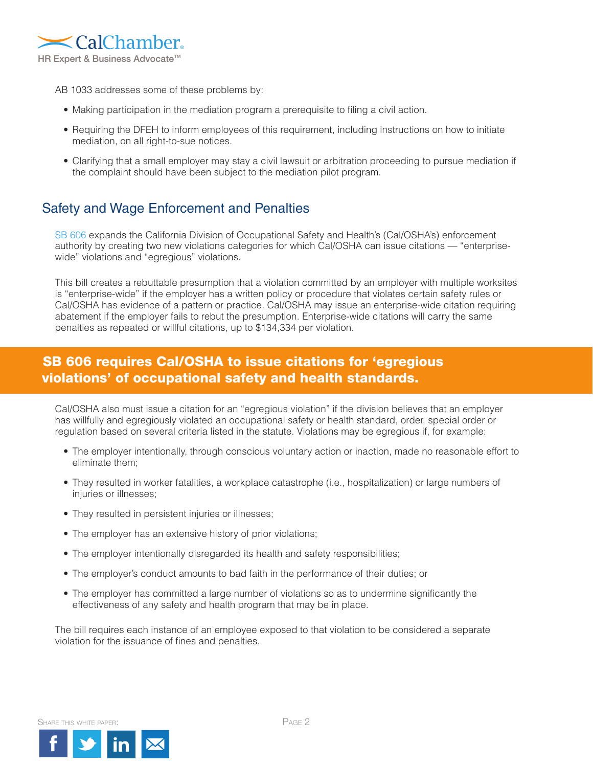

AB 1033 addresses some of these problems by:

- Making participation in the mediation program a prerequisite to filing a civil action.
- Requiring the DFEH to inform employees of this requirement, including instructions on how to initiate mediation, on all right-to-sue notices.
- Clarifying that a small employer may stay a civil lawsuit or arbitration proceeding to pursue mediation if the complaint should have been subject to the mediation pilot program.

# Safety and Wage Enforcement and Penalties

[SB 606](https://leginfo.legislature.ca.gov/faces/billCompareClient.xhtml?bill_id=202120220SB606&showamends=false) expands the California Division of Occupational Safety and Health's (Cal/OSHA's) enforcement authority by creating two new violations categories for which Cal/OSHA can issue citations — "enterprisewide" violations and "egregious" violations.

This bill creates a rebuttable presumption that a violation committed by an employer with multiple worksites is "enterprise-wide" if the employer has a written policy or procedure that violates certain safety rules or Cal/OSHA has evidence of a pattern or practice. Cal/OSHA may issue an enterprise-wide citation requiring abatement if the employer fails to rebut the presumption. Enterprise-wide citations will carry the same penalties as repeated or willful citations, up to \$134,334 per violation.

# SB 606 requires Cal/OSHA to issue citations for 'egregious violations' of occupational safety and health standards.

Cal/OSHA also must issue a citation for an "egregious violation" if the division believes that an employer has willfully and egregiously violated an occupational safety or health standard, order, special order or regulation based on several criteria listed in the statute. Violations may be egregious if, for example:

- The employer intentionally, through conscious voluntary action or inaction, made no reasonable effort to eliminate them;
- They resulted in worker fatalities, a workplace catastrophe (i.e., hospitalization) or large numbers of injuries or illnesses;
- They resulted in persistent injuries or illnesses;
- The employer has an extensive history of prior violations;
- The employer intentionally disregarded its health and safety responsibilities;
- The employer's conduct amounts to bad faith in the performance of their duties; or
- The employer has committed a large number of violations so as to undermine significantly the effectiveness of any safety and health program that may be in place.

The bill requires each instance of an employee exposed to that violation to be considered a separate violation for the issuance of fines and penalties.

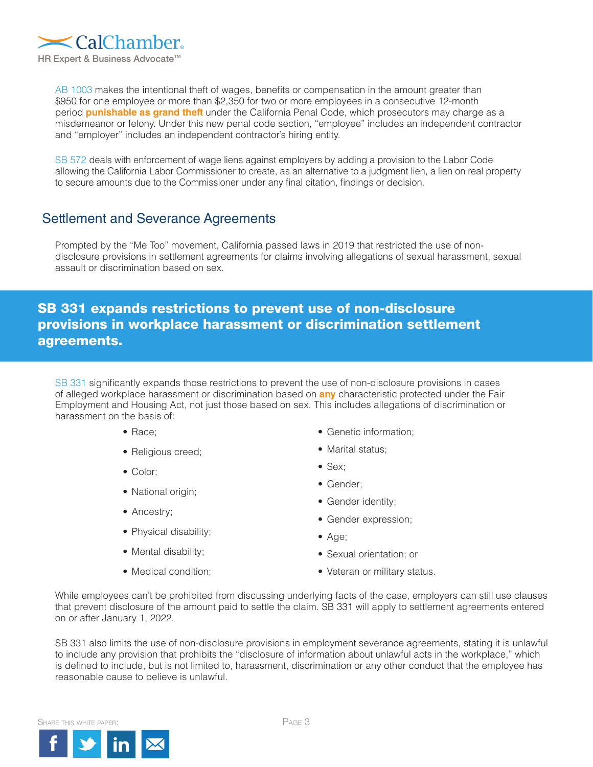

[AB 1003](https://leginfo.legislature.ca.gov/faces/billNavClient.xhtml?bill_id=202120220AB1003) makes the intentional theft of wages, benefits or compensation in the amount greater than \$950 for one employee or more than \$2,350 for two or more employees in a consecutive 12-month period **punishable as grand theft** under the California Penal Code, which prosecutors may charge as a misdemeanor or felony. Under this new penal code section, "employee" includes an independent contractor and "employer" includes an independent contractor's hiring entity.

[SB 572](https://leginfo.legislature.ca.gov/faces/billTextClient.xhtml?bill_id=202120220SB572) deals with enforcement of wage liens against employers by adding a provision to the Labor Code allowing the California Labor Commissioner to create, as an alternative to a judgment lien, a lien on real property to secure amounts due to the Commissioner under any final citation, findings or decision.

## Settlement and Severance Agreements

Prompted by the "Me Too" movement, California passed laws in 2019 that restricted the use of nondisclosure provisions in settlement agreements for claims involving allegations of sexual harassment, sexual assault or discrimination based on sex.

# SB 331 expands restrictions to prevent use of non-disclosure provisions in workplace harassment or discrimination settlement agreements.

[SB 331](https://leginfo.legislature.ca.gov/faces/billNavClient.xhtml?bill_id=202120220SB331) significantly expands those restrictions to prevent the use of non-disclosure provisions in cases of alleged workplace harassment or discrimination based on **any** characteristic protected under the Fair Employment and Housing Act, not just those based on sex. This includes allegations of discrimination or harassment on the basis of:

- Race;
- Religious creed;
- Color;
- National origin;
- Ancestry;
- Physical disability;
- Mental disability;
- Medical condition;
- Genetic information;
- Marital status:
- Sex;
- Gender;
- Gender identity;
- Gender expression;
- Age;
- Sexual orientation; or
- Veteran or military status.

While employees can't be prohibited from discussing underlying facts of the case, employers can still use clauses that prevent disclosure of the amount paid to settle the claim. SB 331 will apply to settlement agreements entered on or after January 1, 2022.

SB 331 also limits the use of non-disclosure provisions in employment severance agreements, stating it is unlawful to include any provision that prohibits the "disclosure of information about unlawful acts in the workplace," which is defined to include, but is not limited to, harassment, discrimination or any other conduct that the employee has reasonable cause to believe is unlawful.

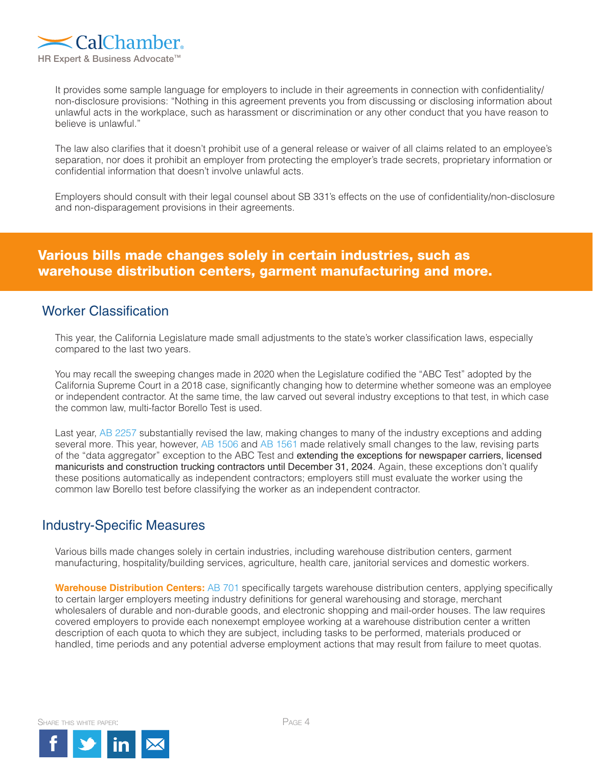

It provides some sample language for employers to include in their agreements in connection with confidentiality/ non-disclosure provisions: "Nothing in this agreement prevents you from discussing or disclosing information about unlawful acts in the workplace, such as harassment or discrimination or any other conduct that you have reason to believe is unlawful."

The law also clarifies that it doesn't prohibit use of a general release or waiver of all claims related to an employee's separation, nor does it prohibit an employer from protecting the employer's trade secrets, proprietary information or confidential information that doesn't involve unlawful acts.

Employers should consult with their legal counsel about SB 331's effects on the use of confidentiality/non-disclosure and non-disparagement provisions in their agreements.

# Various bills made changes solely in certain industries, such as warehouse distribution centers, garment manufacturing and more.

### Worker Classification

This year, the California Legislature made small adjustments to the state's worker classification laws, especially compared to the last two years.

You may recall the sweeping changes made in 2020 when the Legislature codified the "ABC Test" adopted by the California Supreme Court in a 2018 case, significantly changing how to determine whether someone was an employee or independent contractor. At the same time, the law carved out several industry exceptions to that test, in which case the common law, multi-factor Borello Test is used.

Last year, [AB 2257 s](https://leginfo.legislature.ca.gov/faces/billTextClient.xhtml?bill_id=201920200AB2257)ubstantially revised the law, making changes to many of the industry exceptions and adding several more. This year, however, [AB 1506](https://leginfo.legislature.ca.gov/faces/billNavClient.xhtml?bill_id=202120220AB1506) and [AB 1561](https://leginfo.legislature.ca.gov/faces/billTextClient.xhtml?bill_id=202120220AB1561) made relatively small changes to the law, revising parts of the "data aggregator" exception to the ABC Test and extending the exceptions for newspaper carriers, licensed manicurists and construction trucking contractors until December 31, 2024. Again, these exceptions don't qualify these positions automatically as independent contractors; employers still must evaluate the worker using the common law Borello test before classifying the worker as an independent contractor.

### Industry-Specific Measures

Various bills made changes solely in certain industries, including warehouse distribution centers, garment manufacturing, hospitality/building services, agriculture, health care, janitorial services and domestic workers.

**Warehouse Distribution Centers:** [AB 701 s](https://leginfo.legislature.ca.gov/faces/billNavClient.xhtml?bill_id=202120220AB701)pecifically targets warehouse distribution centers, applying specifically to certain larger employers meeting industry definitions for general warehousing and storage, merchant wholesalers of durable and non-durable goods, and electronic shopping and mail-order houses. The law requires covered employers to provide each nonexempt employee working at a warehouse distribution center a written description of each quota to which they are subject, including tasks to be performed, materials produced or handled, time periods and any potential adverse employment actions that may result from failure to meet quotas.

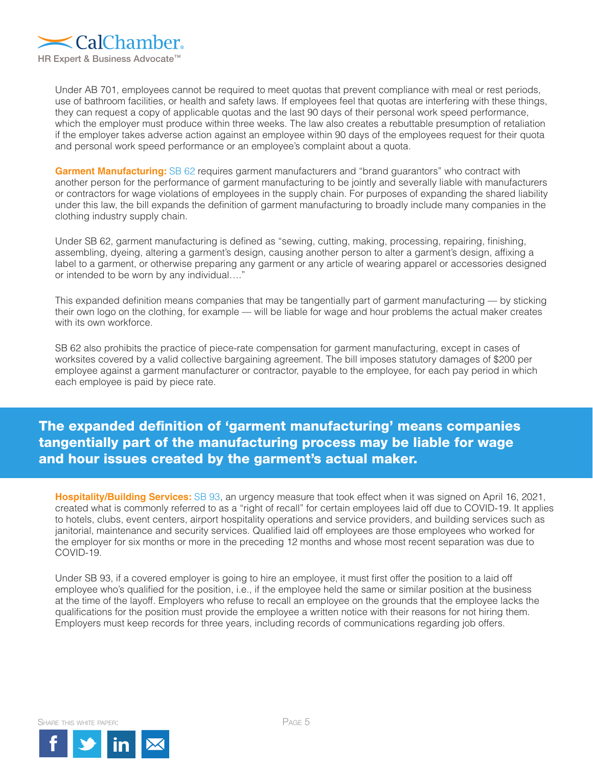

Under AB 701, employees cannot be required to meet quotas that prevent compliance with meal or rest periods, use of bathroom facilities, or health and safety laws. If employees feel that quotas are interfering with these things, they can request a copy of applicable quotas and the last 90 days of their personal work speed performance, which the employer must produce within three weeks. The law also creates a rebuttable presumption of retaliation if the employer takes adverse action against an employee within 90 days of the employees request for their quota and personal work speed performance or an employee's complaint about a quota.

**Garment Manufacturing:** [SB 62](https://leginfo.legislature.ca.gov/faces/billNavClient.xhtml?bill_id=202120220SB62) requires garment manufacturers and "brand guarantors" who contract with another person for the performance of garment manufacturing to be jointly and severally liable with manufacturers or contractors for wage violations of employees in the supply chain. For purposes of expanding the shared liability under this law, the bill expands the definition of garment manufacturing to broadly include many companies in the clothing industry supply chain.

Under SB 62, garment manufacturing is defined as "sewing, cutting, making, processing, repairing, finishing, assembling, dyeing, altering a garment's design, causing another person to alter a garment's design, affixing a label to a garment, or otherwise preparing any garment or any article of wearing apparel or accessories designed or intended to be worn by any individual…."

This expanded definition means companies that may be tangentially part of garment manufacturing — by sticking their own logo on the clothing, for example — will be liable for wage and hour problems the actual maker creates with its own workforce.

SB 62 also prohibits the practice of piece-rate compensation for garment manufacturing, except in cases of worksites covered by a valid collective bargaining agreement. The bill imposes statutory damages of \$200 per employee against a garment manufacturer or contractor, payable to the employee, for each pay period in which each employee is paid by piece rate.

# The expanded definition of 'garment manufacturing' means companies tangentially part of the manufacturing process may be liable for wage and hour issues created by the garment's actual maker.

**Hospitality/Building Services:** [SB 93](https://leginfo.legislature.ca.gov/faces/billNavClient.xhtml?bill_id=202120220SB93), an urgency measure that took effect when it was signed on April 16, 2021, created what is commonly referred to as a "right of recall" for certain employees laid off due to COVID-19. It applies to hotels, clubs, event centers, airport hospitality operations and service providers, and building services such as janitorial, maintenance and security services. Qualified laid off employees are those employees who worked for the employer for six months or more in the preceding 12 months and whose most recent separation was due to COVID-19.

Under SB 93, if a covered employer is going to hire an employee, it must first offer the position to a laid off employee who's qualified for the position, i.e., if the employee held the same or similar position at the business at the time of the layoff. Employers who refuse to recall an employee on the grounds that the employee lacks the qualifications for the position must provide the employee a written notice with their reasons for not hiring them. Employers must keep records for three years, including records of communications regarding job offers.

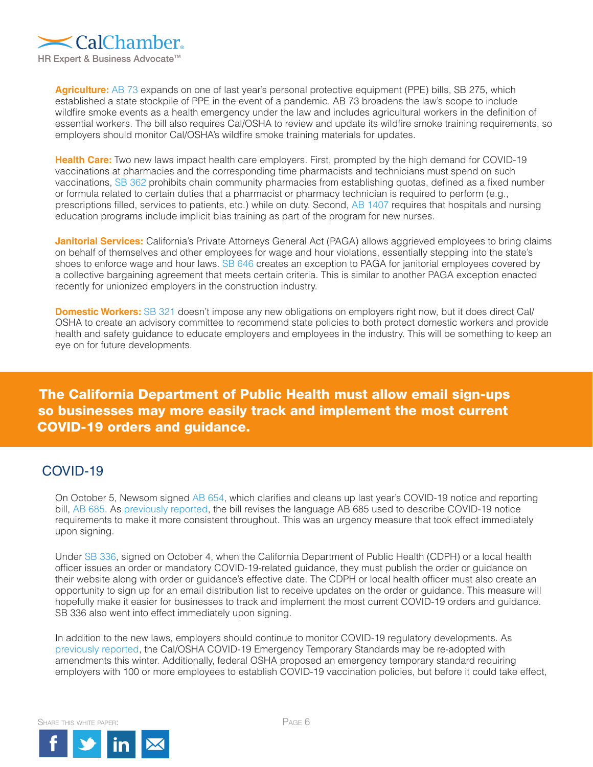

Agriculture: [AB 73](https://leginfo.legislature.ca.gov/faces/billTextClient.xhtml?bill_id=202120220AB73) expands on one of last year's personal protective equipment (PPE) bills, SB 275, which established a state stockpile of PPE in the event of a pandemic. AB 73 broadens the law's scope to include wildfire smoke events as a health emergency under the law and includes agricultural workers in the definition of essential workers. The bill also requires Cal/OSHA to review and update its wildfire smoke training requirements, so employers should monitor Cal/OSHA's wildfire smoke training materials for updates.

**Health Care:** Two new laws impact health care employers. First, prompted by the high demand for COVID-19 vaccinations at pharmacies and the corresponding time pharmacists and technicians must spend on such vaccinations, [SB 362](https://leginfo.legislature.ca.gov/faces/billNavClient.xhtml?bill_id=202120220SB362) prohibits chain community pharmacies from establishing quotas, defined as a fixed number or formula related to certain duties that a pharmacist or pharmacy technician is required to perform (e.g., prescriptions filled, services to patients, etc.) while on duty. Second, [AB 1407](https://leginfo.legislature.ca.gov/faces/billNavClient.xhtml?bill_id=202120220AB1407) requires that hospitals and nursing education programs include implicit bias training as part of the program for new nurses.

**Janitorial Services:** California's Private Attorneys General Act (PAGA) allows aggrieved employees to bring claims on behalf of themselves and other employees for wage and hour violations, essentially stepping into the state's shoes to enforce wage and hour laws. [SB 646](https://leginfo.legislature.ca.gov/faces/billNavClient.xhtml?bill_id=202120220SB646) creates an exception to PAGA for janitorial employees covered by a collective bargaining agreement that meets certain criteria. This is similar to another PAGA exception enacted recently for unionized employers in the construction industry.

**Domestic Workers:** [SB 321](https://leginfo.legislature.ca.gov/faces/billNavClient.xhtml?bill_id=202120220SB321) doesn't impose any new obligations on employers right now, but it does direct Cal/ OSHA to create an advisory committee to recommend state policies to both protect domestic workers and provide health and safety guidance to educate employers and employees in the industry. This will be something to keep an eye on for future developments.

# The California Department of Public Health must allow email sign-ups so businesses may more easily track and implement the most current COVID-19 orders and guidance.

### COVID-19

On October 5, Newsom signed [AB 654,](https://leginfo.legislature.ca.gov/faces/billNavClient.xhtml?bill_id=202120220AB654) which clarifies and cleans up last year's COVID-19 notice and reporting bill, [AB 685](https://leginfo.legislature.ca.gov/faces/billTextClient.xhtml?bill_id=201920200AB685). As [previously reported,](https://hrwatchdog.calchamber.com/2021/10/covid-19-workplace-exposure-notification-reporting-requirements-revised/) the bill revises the language AB 685 used to describe COVID-19 notice requirements to make it more consistent throughout. This was an urgency measure that took effect immediately upon signing.

Under [SB 336,](https://leginfo.legislature.ca.gov/faces/billNavClient.xhtml?bill_id=202120220SB336) signed on October 4, when the California Department of Public Health (CDPH) or a local health officer issues an order or mandatory COVID-19-related guidance, they must publish the order or guidance on their website along with order or guidance's effective date. The CDPH or local health officer must also create an opportunity to sign up for an email distribution list to receive updates on the order or guidance. This measure will hopefully make it easier for businesses to track and implement the most current COVID-19 orders and guidance. SB 336 also went into effect immediately upon signing.

In addition to the new laws, employers should continue to monitor COVID-19 regulatory developments. As [previously reported](https://hrwatchdog.calchamber.com/2021/09/covid-19-in-the-workplace-vaccine-on-the-horizon/), the Cal/OSHA COVID-19 Emergency Temporary Standards may be re-adopted with amendments this winter. Additionally, federal OSHA proposed an emergency temporary standard requiring employers with 100 or more employees to establish COVID-19 vaccination policies, but before it could take effect,